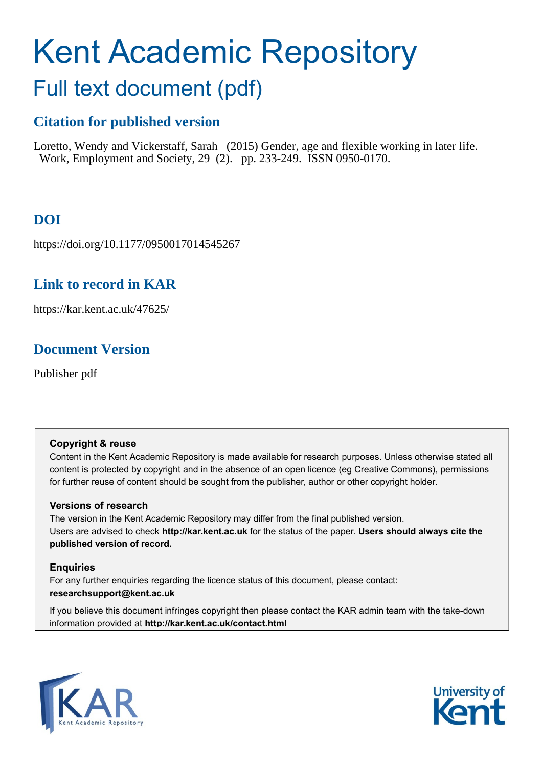# Kent Academic Repository

# Full text document (pdf)

# **Citation for published version**

Loretto, Wendy and Vickerstaff, Sarah (2015) Gender, age and flexible working in later life. Work, Employment and Society, 29 (2). pp. 233-249. ISSN 0950-0170.

# **DOI**

https://doi.org/10.1177/0950017014545267

## **Link to record in KAR**

https://kar.kent.ac.uk/47625/

## **Document Version**

Publisher pdf

#### **Copyright & reuse**

Content in the Kent Academic Repository is made available for research purposes. Unless otherwise stated all content is protected by copyright and in the absence of an open licence (eg Creative Commons), permissions for further reuse of content should be sought from the publisher, author or other copyright holder.

#### **Versions of research**

The version in the Kent Academic Repository may differ from the final published version. Users are advised to check **http://kar.kent.ac.uk** for the status of the paper. **Users should always cite the published version of record.**

#### **Enquiries**

For any further enquiries regarding the licence status of this document, please contact: **researchsupport@kent.ac.uk**

If you believe this document infringes copyright then please contact the KAR admin team with the take-down information provided at **http://kar.kent.ac.uk/contact.html**



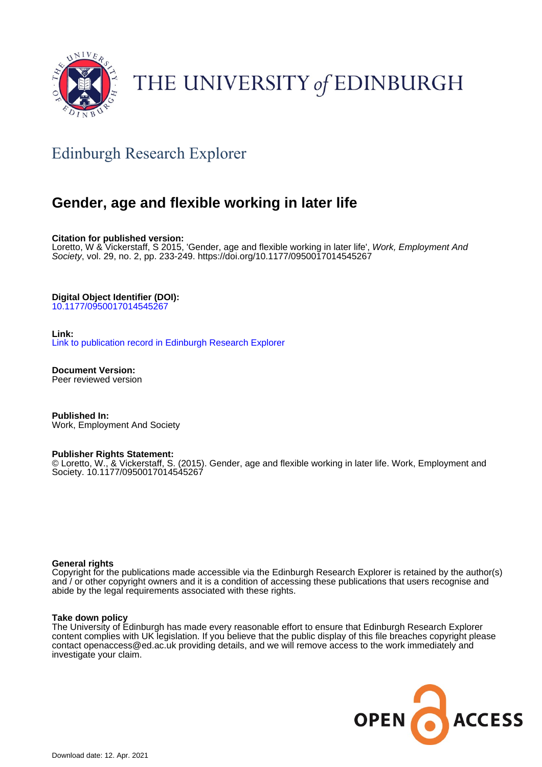

# THE UNIVERSITY of EDINBURGH

# Edinburgh Research Explorer

## **Gender, age and flexible working in later life**

**Citation for published version:**

Loretto, W & Vickerstaff, S 2015, 'Gender, age and flexible working in later life', Work, Employment And Society, vol. 29, no. 2, pp. 233-249.<https://doi.org/10.1177/0950017014545267>

#### **Digital Object Identifier (DOI):**

[10.1177/0950017014545267](https://doi.org/10.1177/0950017014545267)

#### **Link:**

[Link to publication record in Edinburgh Research Explorer](https://www.research.ed.ac.uk/portal/en/publications/gender-age-and-flexible-working-in-later-life(bc2cd2c6-d835-488d-b49d-058a8749520c).html)

**Document Version:** Peer reviewed version

**Published In:** Work, Employment And Society

#### **Publisher Rights Statement:**

© Loretto, W., & Vickerstaff, S. (2015). Gender, age and flexible working in later life. Work, Employment and Society. 10.1177/0950017014545267

#### **General rights**

Copyright for the publications made accessible via the Edinburgh Research Explorer is retained by the author(s) and / or other copyright owners and it is a condition of accessing these publications that users recognise and abide by the legal requirements associated with these rights.

#### **Take down policy**

The University of Edinburgh has made every reasonable effort to ensure that Edinburgh Research Explorer content complies with UK legislation. If you believe that the public display of this file breaches copyright please contact openaccess@ed.ac.uk providing details, and we will remove access to the work immediately and investigate your claim.

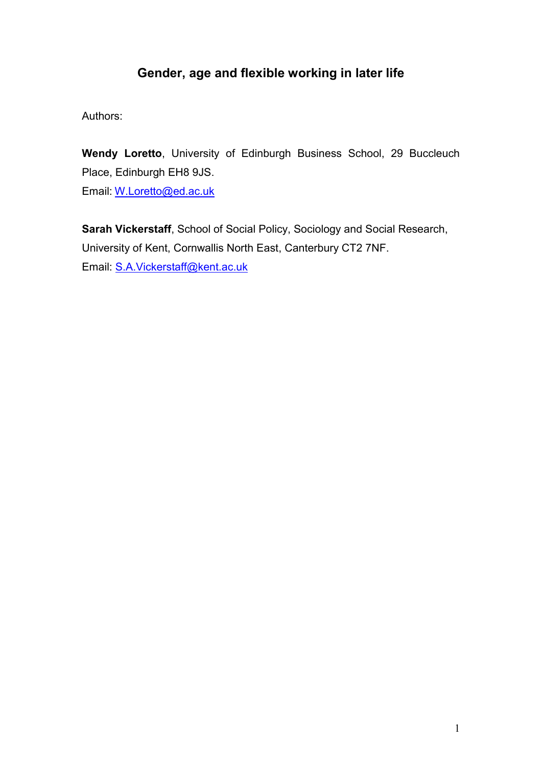# **Gender, age and flexible working in later life**

Authors:

**Wendy Loretto**, University of Edinburgh Business School, 29 Buccleuch Place, Edinburgh EH8 9JS. Email: [W.Loretto@ed.ac.uk](mailto:W.Loretto@ed.ac.uk)

**Sarah Vickerstaff**, School of Social Policy, Sociology and Social Research, University of Kent, Cornwallis North East, Canterbury CT2 7NF. Email: [S.A.Vickerstaff@kent.ac.uk](mailto:S.A.Vickerstaff@kent.ac.uk)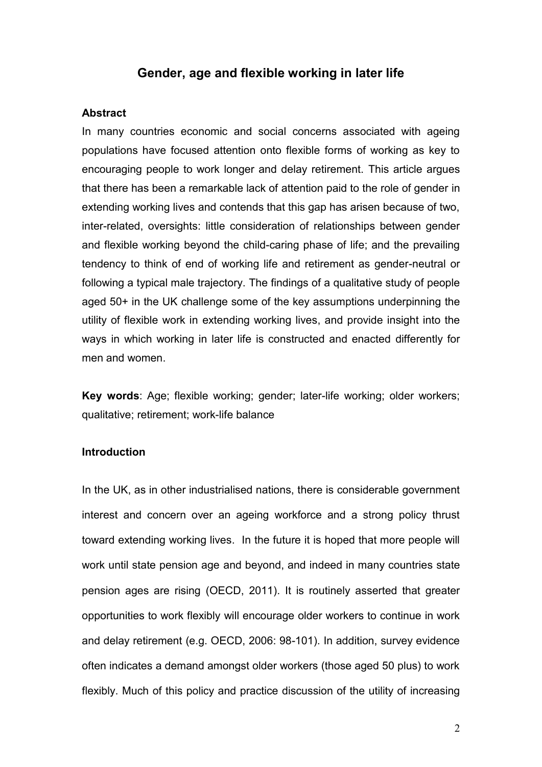#### **Gender, age and flexible working in later life**

#### **Abstract**

In many countries economic and social concerns associated with ageing populations have focused attention onto flexible forms of working as key to encouraging people to work longer and delay retirement. This article argues that there has been a remarkable lack of attention paid to the role of gender in extending working lives and contends that this gap has arisen because of two, inter-related, oversights: little consideration of relationships between gender and flexible working beyond the child-caring phase of life; and the prevailing tendency to think of end of working life and retirement as gender-neutral or following a typical male trajectory. The findings of a qualitative study of people aged 50+ in the UK challenge some of the key assumptions underpinning the utility of flexible work in extending working lives, and provide insight into the ways in which working in later life is constructed and enacted differently for men and women.

**Key words**: Age; flexible working; gender; later-life working; older workers; qualitative; retirement; work-life balance

#### **Introduction**

In the UK, as in other industrialised nations, there is considerable government interest and concern over an ageing workforce and a strong policy thrust toward extending working lives. In the future it is hoped that more people will work until state pension age and beyond, and indeed in many countries state pension ages are rising (OECD, 2011). It is routinely asserted that greater opportunities to work flexibly will encourage older workers to continue in work and delay retirement (e.g. OECD, 2006: 98-101). In addition, survey evidence often indicates a demand amongst older workers (those aged 50 plus) to work flexibly. Much of this policy and practice discussion of the utility of increasing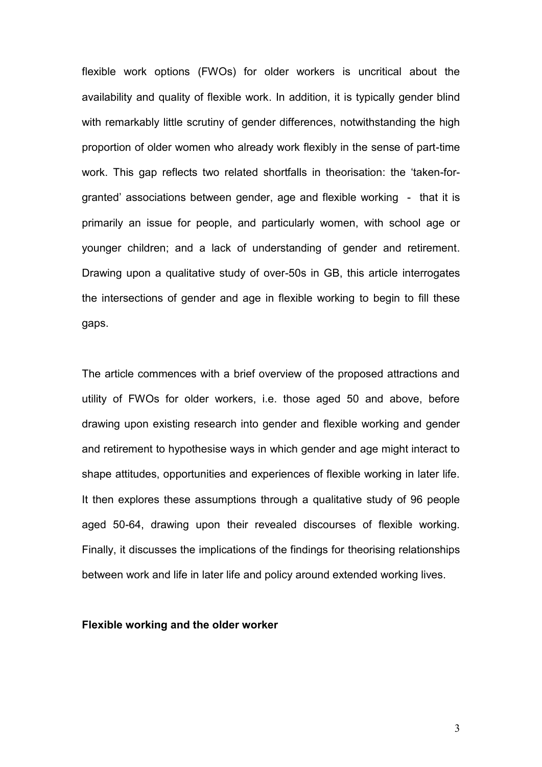flexible work options (FWOs) for older workers is uncritical about the availability and quality of flexible work. In addition, it is typically gender blind with remarkably little scrutiny of gender differences, not with standing the high proportion of older women who already work flexibly in the sense of part-time work. This gap reflects two related shortfalls in theorisation: the 'taken-forgranted' associations between gender, age and flexible working - that it is primarily an issue for people, and particularly women, with school age or younger children; and a lack of understanding of gender and retirement. Drawing upon a qualitative study of over-50s in GB, this article interrogates the intersections of gender and age in flexible working to begin to fill these gaps.

The article commences with a brief overview of the proposed attractions and utility of FWOs for older workers, i.e. those aged 50 and above, before drawing upon existing research into gender and flexible working and gender and retirement to hypothesise ways in which gender and age might interact to shape attitudes, opportunities and experiences of flexible working in later life. It then explores these assumptions through a qualitative study of 96 people aged 50-64, drawing upon their revealed discourses of flexible working. Finally, it discusses the implications of the findings for theorising relationships between work and life in later life and policy around extended working lives.

#### **Flexible working and the older worker**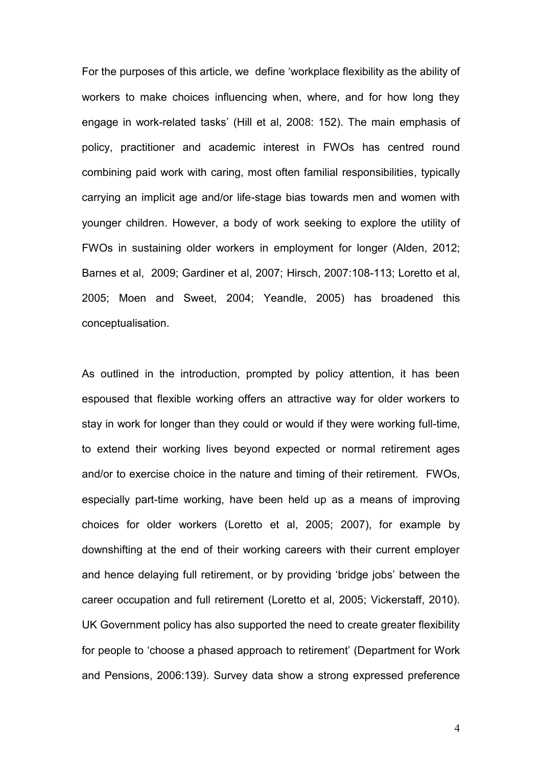For the purposes of this article, we define 'workplace flexibility as the ability of workers to make choices influencing when, where, and for how long they engage in work-related tasks' (Hill et al, 2008: 152). The main emphasis of policy, practitioner and academic interest in FWOs has centred round combining paid work with caring, most often familial responsibilities, typically carrying an implicit age and/or life-stage bias towards men and women with younger children. However, a body of work seeking to explore the utility of FWOs in sustaining older workers in employment for longer (Alden, 2012; Barnes et al, 2009; Gardiner et al, 2007; Hirsch, 2007:108-113; Loretto et al, 2005; Moen and Sweet, 2004; Yeandle, 2005) has broadened this conceptualisation.

As outlined in the introduction, prompted by policy attention, it has been espoused that flexible working offers an attractive way for older workers to stay in work for longer than they could or would if they were working full-time, to extend their working lives beyond expected or normal retirement ages and/or to exercise choice in the nature and timing of their retirement. FWOs, especially part-time working, have been held up as a means of improving choices for older workers (Loretto et al, 2005; 2007), for example by downshifting at the end of their working careers with their current employer and hence delaying full retirement, or by providing 'bridge jobs' between the career occupation and full retirement (Loretto et al, 2005; Vickerstaff, 2010). UK Government policy has also supported the need to create greater flexibility for people to 'choose a phased approach to retirement' (Department for Work and Pensions, 2006:139). Survey data show a strong expressed preference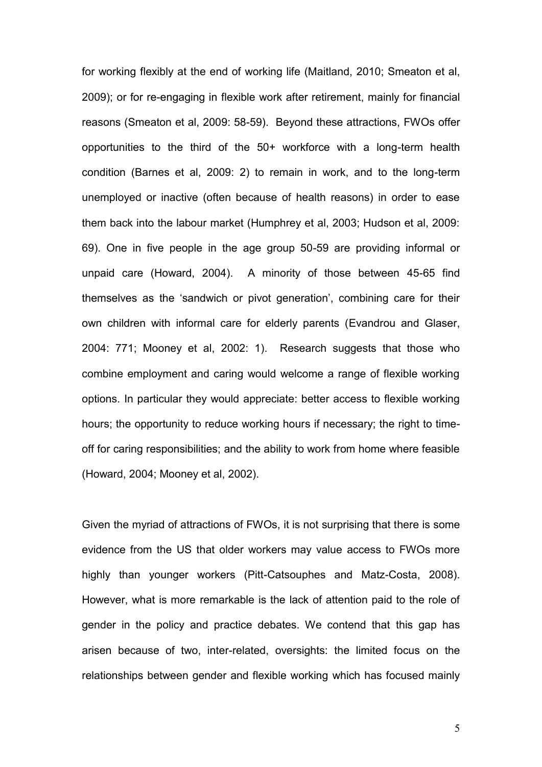for working flexibly at the end of working life (Maitland, 2010; Smeaton et al, 2009); or for re-engaging in flexible work after retirement, mainly for financial reasons (Smeaton et al, 2009: 58-59). Beyond these attractions, FWOs offer opportunities to the third of the 50+ workforce with a long-term health condition (Barnes et al, 2009: 2) to remain in work, and to the long-term unemployed or inactive (often because of health reasons) in order to ease them back into the labour market (Humphrey et al, 2003; Hudson et al, 2009: 69). One in five people in the age group 50-59 are providing informal or unpaid care (Howard, 2004). A minority of those between 45-65 find themselves as the 'sandwich or pivot generation', combining care for their own children with informal care for elderly parents (Evandrou and Glaser, 2004: 771; Mooney et al, 2002: 1). Research suggests that those who combine employment and caring would welcome a range of flexible working options. In particular they would appreciate: better access to flexible working hours; the opportunity to reduce working hours if necessary; the right to timeoff for caring responsibilities; and the ability to work from home where feasible (Howard, 2004; Mooney et al, 2002).

Given the myriad of attractions of FWOs, it is not surprising that there is some evidence from the US that older workers may value access to FWOs more highly than younger workers (Pitt-Catsouphes and Matz-Costa, 2008). However, what is more remarkable is the lack of attention paid to the role of gender in the policy and practice debates. We contend that this gap has arisen because of two, inter-related, oversights: the limited focus on the relationships between gender and flexible working which has focused mainly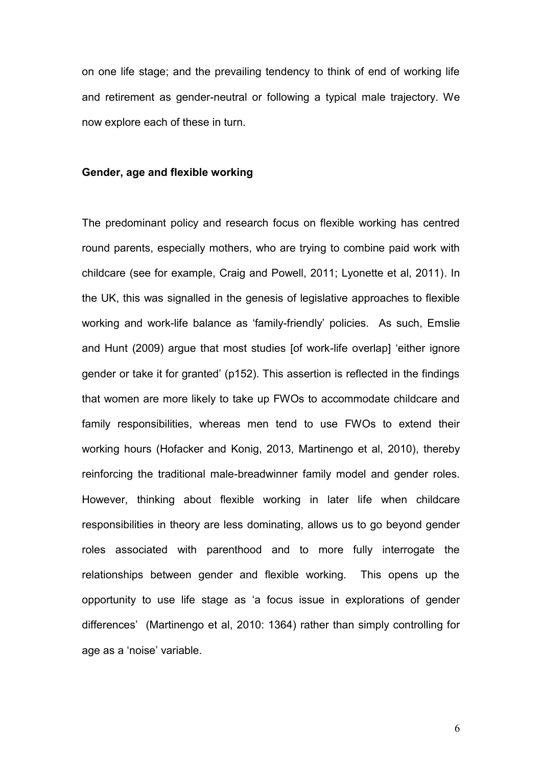on one life stage; and the prevailing tendency to think of end of working life and retirement as gender-neutral or following a typical male trajectory. We now explore each of these in turn.

#### **Gender, age and flexible working**

The predominant policy and research focus on flexible working has centred round parents, especially mothers, who are trying to combine paid work with childcare (see for example, Craig and Powell, 2011; Lyonette et al, 2011). In the UK, this was signalled in the genesis of legislative approaches to flexible working and work-life balance as 'family-friendly' policies. As such, Emslie and Hunt (2009) argue that most studies [of work-life overlap] 'either ignore gender or take it for granted' (p152). This assertion is reflected in the findings that women are more likely to take up FWOs to accommodate childcare and family responsibilities, whereas men tend to use FWOs to extend their working hours (Hofacker and Konig, 2013, Martinengo et al, 2010), thereby reinforcing the traditional male-breadwinner family model and gender roles. However, thinking about flexible working in later life when childcare responsibilities in theory are less dominating, allows us to go beyond gender roles associated with parenthood and to more fully interrogate the relationships between gender and flexible working. This opens up the opportunity to use life stage as 'a focus issue in explorations of gender differences' (Martinengo et al, 2010: 1364) rather than simply controlling for age as a 'noise' variable.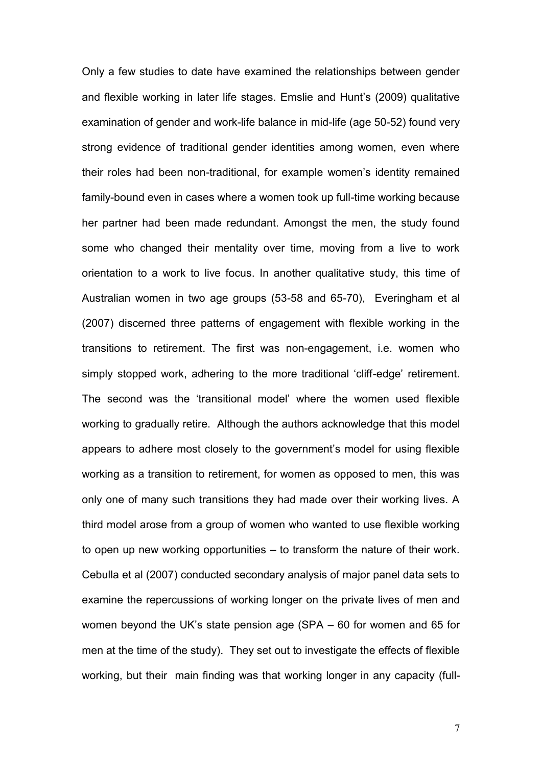Only a few studies to date have examined the relationships between gender and flexible working in later life stages. Emslie and Hunt's (2009) qualitative examination of gender and work-life balance in mid-life (age 50-52) found very strong evidence of traditional gender identities among women, even where their roles had been non-traditional, for example women's identity remained family-bound even in cases where a women took up full-time working because her partner had been made redundant. Amongst the men, the study found some who changed their mentality over time, moving from a live to work orientation to a work to live focus. In another qualitative study, this time of Australian women in two age groups (53-58 and 65-70), Everingham et al (2007) discerned three patterns of engagement with flexible working in the transitions to retirement. The first was non-engagement, i.e. women who simply stopped work, adhering to the more traditional 'cliff-edge' retirement. The second was the 'transitional model' where the women used flexible working to gradually retire. Although the authors acknowledge that this model appears to adhere most closely to the government's model for using flexible working as a transition to retirement, for women as opposed to men, this was only one of many such transitions they had made over their working lives. A third model arose from a group of women who wanted to use flexible working to open up new working opportunities – to transform the nature of their work. Cebulla et al (2007) conducted secondary analysis of major panel data sets to examine the repercussions of working longer on the private lives of men and women beyond the UK's state pension age (SPA – 60 for women and 65 for men at the time of the study). They set out to investigate the effects of flexible working, but their main finding was that working longer in any capacity (full-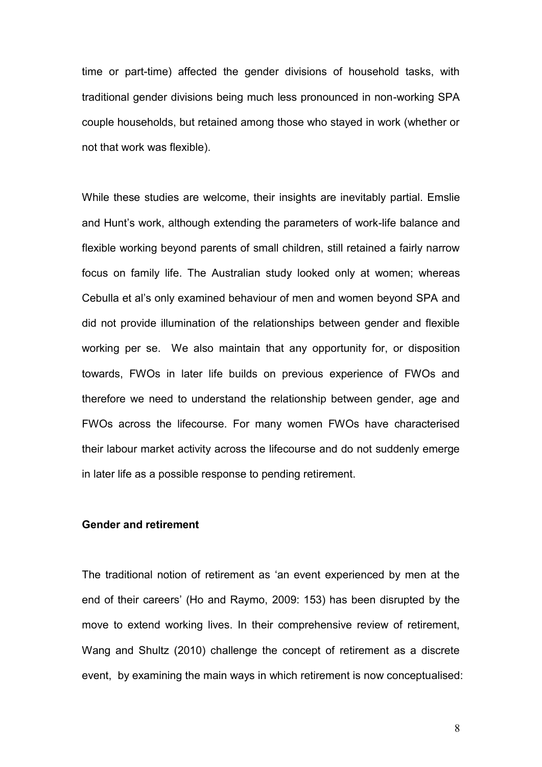time or part-time) affected the gender divisions of household tasks, with traditional gender divisions being much less pronounced in non-working SPA couple households, but retained among those who stayed in work (whether or not that work was flexible).

While these studies are welcome, their insights are inevitably partial. Emslie and Hunt's work, although extending the parameters of work-life balance and flexible working beyond parents of small children, still retained a fairly narrow focus on family life. The Australian study looked only at women; whereas Cebulla et al's only examined behaviour of men and women beyond SPA and did not provide illumination of the relationships between gender and flexible working per se. We also maintain that any opportunity for, or disposition towards, FWOs in later life builds on previous experience of FWOs and therefore we need to understand the relationship between gender, age and FWOs across the lifecourse. For many women FWOs have characterised their labour market activity across the lifecourse and do not suddenly emerge in later life as a possible response to pending retirement.

#### **Gender and retirement**

The traditional notion of retirement as 'an event experienced by men at the end of their careers' (Ho and Raymo, 2009: 153) has been disrupted by the move to extend working lives. In their comprehensive review of retirement, Wang and Shultz (2010) challenge the concept of retirement as a discrete event, by examining the main ways in which retirement is now conceptualised: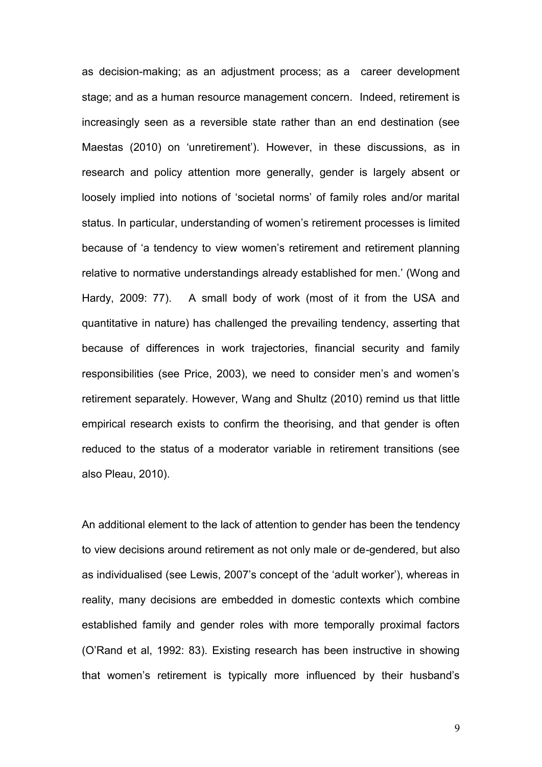as decision-making; as an adjustment process; as a career development stage; and as a human resource management concern. Indeed, retirement is increasingly seen as a reversible state rather than an end destination (see Maestas (2010) on 'unretirement'). However, in these discussions, as in research and policy attention more generally, gender is largely absent or loosely implied into notions of 'societal norms' of family roles and/or marital status. In particular, understanding of women's retirement processes is limited because of 'a tendency to view women's retirement and retirement planning relative to normative understandings already established for men.' (Wong and Hardy, 2009: 77). A small body of work (most of it from the USA and quantitative in nature) has challenged the prevailing tendency, asserting that because of differences in work trajectories, financial security and family responsibilities (see Price, 2003), we need to consider men's and women's retirement separately. However, Wang and Shultz (2010) remind us that little empirical research exists to confirm the theorising, and that gender is often reduced to the status of a moderator variable in retirement transitions (see also Pleau, 2010).

An additional element to the lack of attention to gender has been the tendency to view decisions around retirement as not only male or de-gendered, but also as individualised (see Lewis, 2007's concept of the 'adult worker'), whereas in reality, many decisions are embedded in domestic contexts which combine established family and gender roles with more temporally proximal factors (O'Rand et al, 1992: 83). Existing research has been instructive in showing that women's retirement is typically more influenced by their husband's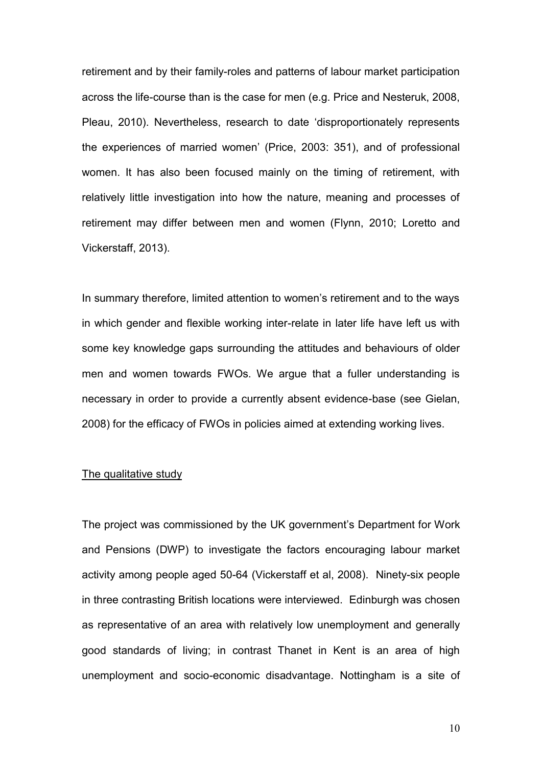retirement and by their family-roles and patterns of labour market participation across the life-course than is the case for men (e.g. Price and Nesteruk, 2008, Pleau, 2010). Nevertheless, research to date 'disproportionately represents the experiences of married women' (Price, 2003: 351), and of professional women. It has also been focused mainly on the timing of retirement, with relatively little investigation into how the nature, meaning and processes of retirement may differ between men and women (Flynn, 2010; Loretto and Vickerstaff, 2013).

In summary therefore, limited attention to women's retirement and to the ways in which gender and flexible working inter-relate in later life have left us with some key knowledge gaps surrounding the attitudes and behaviours of older men and women towards FWOs. We argue that a fuller understanding is necessary in order to provide a currently absent evidence-base (see Gielan, 2008) for the efficacy of FWOs in policies aimed at extending working lives.

#### The qualitative study

The project was commissioned by the UK government's Department for Work and Pensions (DWP) to investigate the factors encouraging labour market activity among people aged 50-64 (Vickerstaff et al, 2008). Ninety-six people in three contrasting British locations were interviewed. Edinburgh was chosen as representative of an area with relatively low unemployment and generally good standards of living; in contrast Thanet in Kent is an area of high unemployment and socio-economic disadvantage. Nottingham is a site of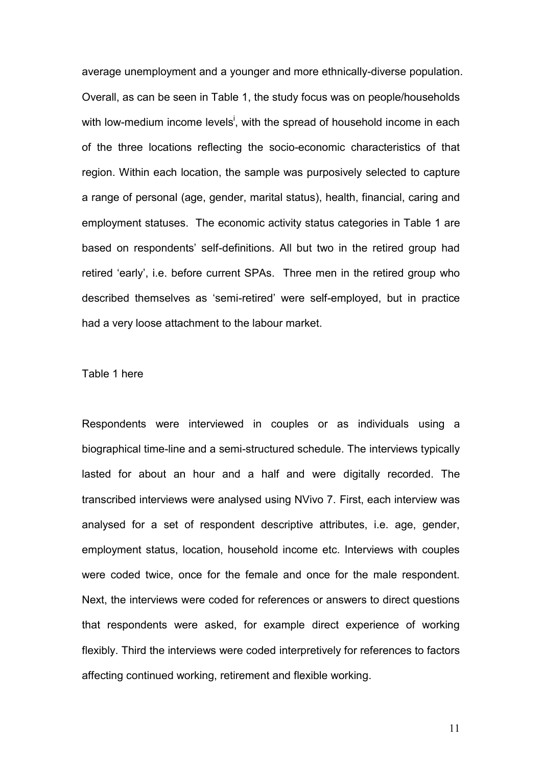average unemployment and a younger and more ethnically-diverse population. Overall, as can be seen in Table 1, the study focus was on people/households with low-medium income levels<sup>i</sup>, with the spread of household income in each of the three locations reflecting the socio-economic characteristics of that region. Within each location, the sample was purposively selected to capture a range of personal (age, gender, marital status), health, financial, caring and employment statuses. The economic activity status categories in Table 1 are based on respondents' self-definitions. All but two in the retired group had retired 'early', i.e. before current SPAs. Three men in the retired group who described themselves as 'semi-retired' were self-employed, but in practice had a very loose attachment to the labour market.

#### Table 1 here

Respondents were interviewed in couples or as individuals using a biographical time-line and a semi-structured schedule. The interviews typically lasted for about an hour and a half and were digitally recorded. The transcribed interviews were analysed using NVivo 7. First, each interview was analysed for a set of respondent descriptive attributes, i.e. age, gender, employment status, location, household income etc. Interviews with couples were coded twice, once for the female and once for the male respondent. Next, the interviews were coded for references or answers to direct questions that respondents were asked, for example direct experience of working flexibly. Third the interviews were coded interpretively for references to factors affecting continued working, retirement and flexible working.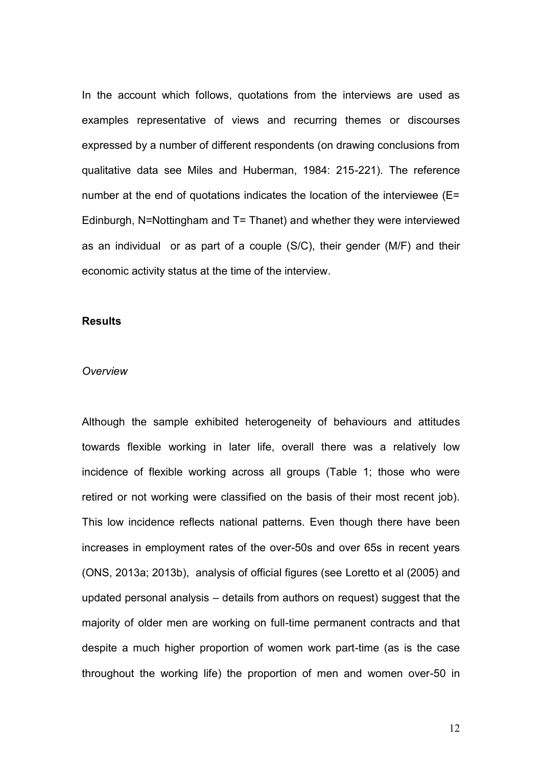In the account which follows, quotations from the interviews are used as examples representative of views and recurring themes or discourses expressed by a number of different respondents (on drawing conclusions from qualitative data see Miles and Huberman, 1984: 215-221). The reference number at the end of quotations indicates the location of the interviewee (E= Edinburgh, N=Nottingham and T= Thanet) and whether they were interviewed as an individual or as part of a couple (S/C), their gender (M/F) and their economic activity status at the time of the interview.

#### **Results**

#### *Overview*

Although the sample exhibited heterogeneity of behaviours and attitudes towards flexible working in later life, overall there was a relatively low incidence of flexible working across all groups (Table 1; those who were retired or not working were classified on the basis of their most recent job). This low incidence reflects national patterns. Even though there have been increases in employment rates of the over-50s and over 65s in recent years (ONS, 2013a; 2013b), analysis of official figures (see Loretto et al (2005) and updated personal analysis – details from authors on request) suggest that the majority of older men are working on full-time permanent contracts and that despite a much higher proportion of women work part-time (as is the case throughout the working life) the proportion of men and women over-50 in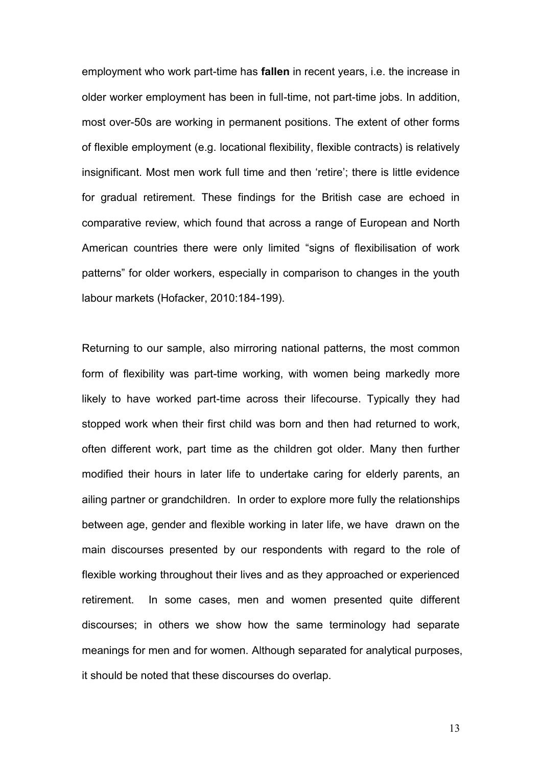employment who work part-time has **fallen** in recent years, i.e. the increase in older worker employment has been in full-time, not part-time jobs. In addition, most over-50s are working in permanent positions. The extent of other forms of flexible employment (e.g. locational flexibility, flexible contracts) is relatively insignificant. Most men work full time and then 'retire'; there is little evidence for gradual retirement. These findings for the British case are echoed in comparative review, which found that across a range of European and North American countries there were only limited "signs of flexibilisation of work patterns" for older workers, especially in comparison to changes in the youth labour markets (Hofacker, 2010:184-199).

Returning to our sample, also mirroring national patterns, the most common form of flexibility was part-time working, with women being markedly more likely to have worked part-time across their lifecourse. Typically they had stopped work when their first child was born and then had returned to work, often different work, part time as the children got older. Many then further modified their hours in later life to undertake caring for elderly parents, an ailing partner or grandchildren. In order to explore more fully the relationships between age, gender and flexible working in later life, we have drawn on the main discourses presented by our respondents with regard to the role of flexible working throughout their lives and as they approached or experienced retirement. In some cases, men and women presented quite different discourses; in others we show how the same terminology had separate meanings for men and for women. Although separated for analytical purposes, it should be noted that these discourses do overlap.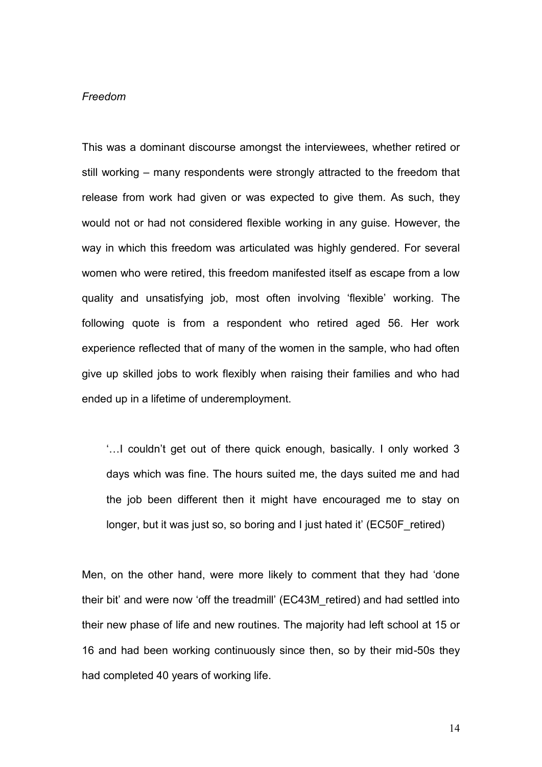#### *Freedom*

This was a dominant discourse amongst the interviewees, whether retired or still working – many respondents were strongly attracted to the freedom that release from work had given or was expected to give them. As such, they would not or had not considered flexible working in any guise. However, the way in which this freedom was articulated was highly gendered. For several women who were retired, this freedom manifested itself as escape from a low quality and unsatisfying job, most often involving 'flexible' working. The following quote is from a respondent who retired aged 56. Her work experience reflected that of many of the women in the sample, who had often give up skilled jobs to work flexibly when raising their families and who had ended up in a lifetime of underemployment.

'…I couldn't get out of there quick enough, basically. I only worked 3 days which was fine. The hours suited me, the days suited me and had the job been different then it might have encouraged me to stay on longer, but it was just so, so boring and I just hated it' (EC50F retired)

Men, on the other hand, were more likely to comment that they had 'done their bit' and were now 'off the treadmill' (EC43M\_retired) and had settled into their new phase of life and new routines. The majority had left school at 15 or 16 and had been working continuously since then, so by their mid-50s they had completed 40 years of working life.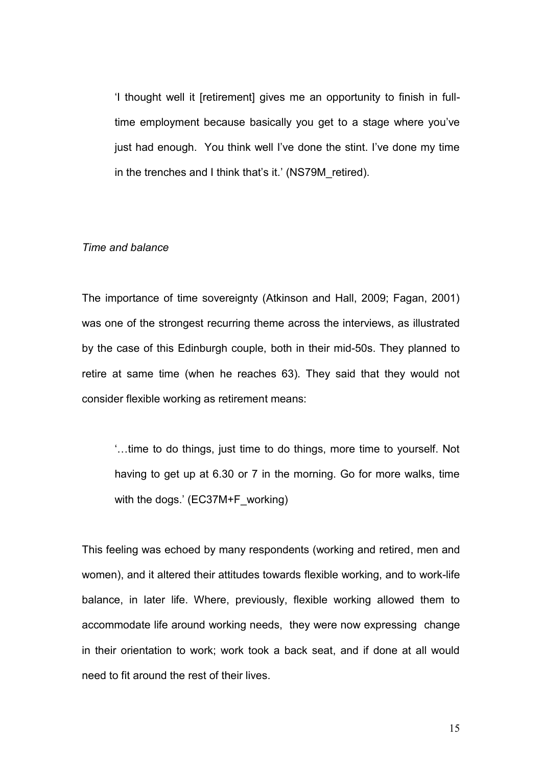'I thought well it [retirement] gives me an opportunity to finish in fulltime employment because basically you get to a stage where you've just had enough. You think well I've done the stint. I've done my time in the trenches and I think that's it.' (NS79M\_retired).

#### *Time and balance*

The importance of time sovereignty (Atkinson and Hall, 2009; Fagan, 2001) was one of the strongest recurring theme across the interviews, as illustrated by the case of this Edinburgh couple, both in their mid-50s. They planned to retire at same time (when he reaches 63). They said that they would not consider flexible working as retirement means:

'…time to do things, just time to do things, more time to yourself. Not having to get up at 6.30 or 7 in the morning. Go for more walks, time with the dogs.' (EC37M+F\_working)

This feeling was echoed by many respondents (working and retired, men and women), and it altered their attitudes towards flexible working, and to work-life balance, in later life. Where, previously, flexible working allowed them to accommodate life around working needs, they were now expressing change in their orientation to work; work took a back seat, and if done at all would need to fit around the rest of their lives.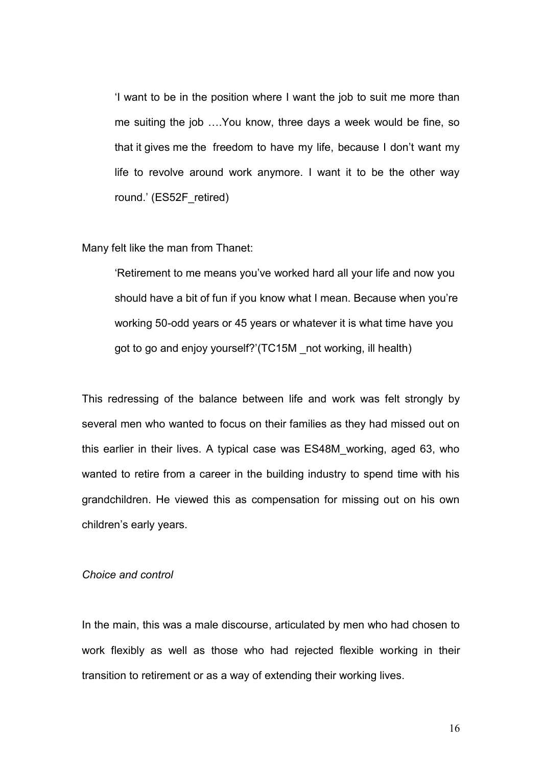'I want to be in the position where I want the job to suit me more than me suiting the job ….You know, three days a week would be fine, so that it gives me the freedom to have my life, because I don't want my life to revolve around work anymore. I want it to be the other way round.' (ES52F\_retired)

Many felt like the man from Thanet:

'Retirement to me means you've worked hard all your life and now you should have a bit of fun if you know what I mean. Because when you're working 50-odd years or 45 years or whatever it is what time have you got to go and enjoy yourself?'(TC15M \_not working, ill health)

This redressing of the balance between life and work was felt strongly by several men who wanted to focus on their families as they had missed out on this earlier in their lives. A typical case was ES48M\_working, aged 63, who wanted to retire from a career in the building industry to spend time with his grandchildren. He viewed this as compensation for missing out on his own children's early years.

#### *Choice and control*

In the main, this was a male discourse, articulated by men who had chosen to work flexibly as well as those who had rejected flexible working in their transition to retirement or as a way of extending their working lives.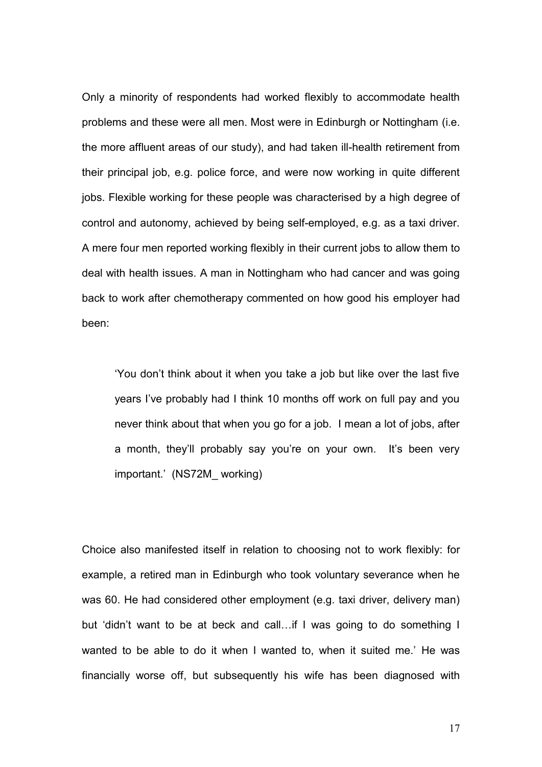Only a minority of respondents had worked flexibly to accommodate health problems and these were all men. Most were in Edinburgh or Nottingham (i.e. the more affluent areas of our study), and had taken ill-health retirement from their principal job, e.g. police force, and were now working in quite different jobs. Flexible working for these people was characterised by a high degree of control and autonomy, achieved by being self-employed, e.g. as a taxi driver. A mere four men reported working flexibly in their current jobs to allow them to deal with health issues. A man in Nottingham who had cancer and was going back to work after chemotherapy commented on how good his employer had been:

'You don't think about it when you take a job but like over the last five years I've probably had I think 10 months off work on full pay and you never think about that when you go for a job. I mean a lot of jobs, after a month, they'll probably say you're on your own. It's been very important.' (NS72M\_ working)

Choice also manifested itself in relation to choosing not to work flexibly: for example, a retired man in Edinburgh who took voluntary severance when he was 60. He had considered other employment (e.g. taxi driver, delivery man) but 'didn't want to be at beck and call…if I was going to do something I wanted to be able to do it when I wanted to, when it suited me.' He was financially worse off, but subsequently his wife has been diagnosed with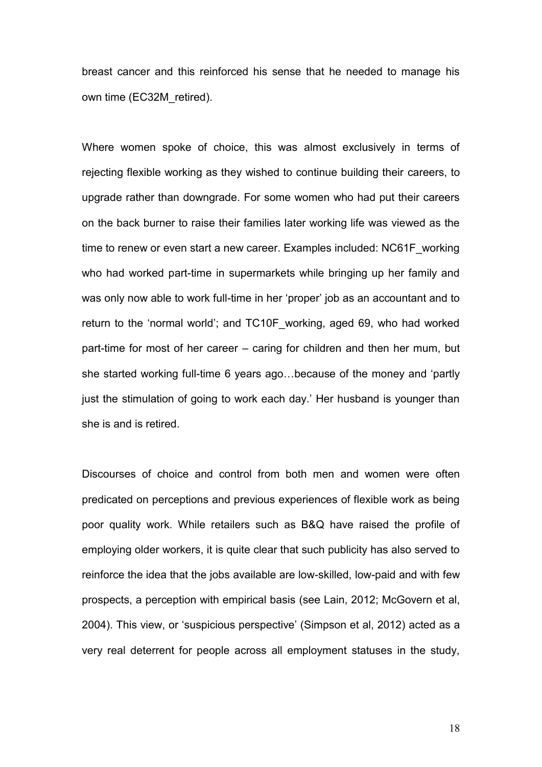breast cancer and this reinforced his sense that he needed to manage his own time (EC32M\_retired).

Where women spoke of choice, this was almost exclusively in terms of rejecting flexible working as they wished to continue building their careers, to upgrade rather than downgrade. For some women who had put their careers on the back burner to raise their families later working life was viewed as the time to renew or even start a new career. Examples included: NC61F\_working who had worked part-time in supermarkets while bringing up her family and was only now able to work full-time in her 'proper' job as an accountant and to return to the 'normal world'; and TC10F\_working, aged 69, who had worked part-time for most of her career – caring for children and then her mum, but she started working full-time 6 years ago…because of the money and 'partly just the stimulation of going to work each day.' Her husband is younger than she is and is retired.

Discourses of choice and control from both men and women were often predicated on perceptions and previous experiences of flexible work as being poor quality work. While retailers such as B&Q have raised the profile of employing older workers, it is quite clear that such publicity has also served to reinforce the idea that the jobs available are low-skilled, low-paid and with few prospects, a perception with empirical basis (see Lain, 2012; McGovern et al, 2004). This view, or 'suspicious perspective' (Simpson et al, 2012) acted as a very real deterrent for people across all employment statuses in the study,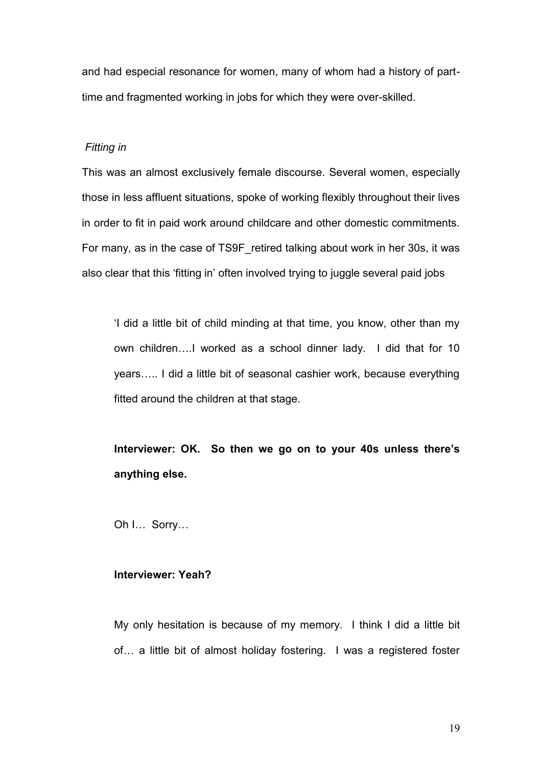and had especial resonance for women, many of whom had a history of parttime and fragmented working in jobs for which they were over-skilled.

#### *Fitting in*

This was an almost exclusively female discourse. Several women, especially those in less affluent situations, spoke of working flexibly throughout their lives in order to fit in paid work around childcare and other domestic commitments. For many, as in the case of TS9F\_retired talking about work in her 30s, it was also clear that this 'fitting in' often involved trying to juggle several paid jobs

'I did a little bit of child minding at that time, you know, other than my own children….I worked as a school dinner lady. I did that for 10 years….. I did a little bit of seasonal cashier work, because everything fitted around the children at that stage.

**Interviewer: OK. So then we go on to your 40s unless there's anything else.**

Oh I… Sorry…

#### **Interviewer: Yeah?**

My only hesitation is because of my memory. I think I did a little bit of… a little bit of almost holiday fostering. I was a registered foster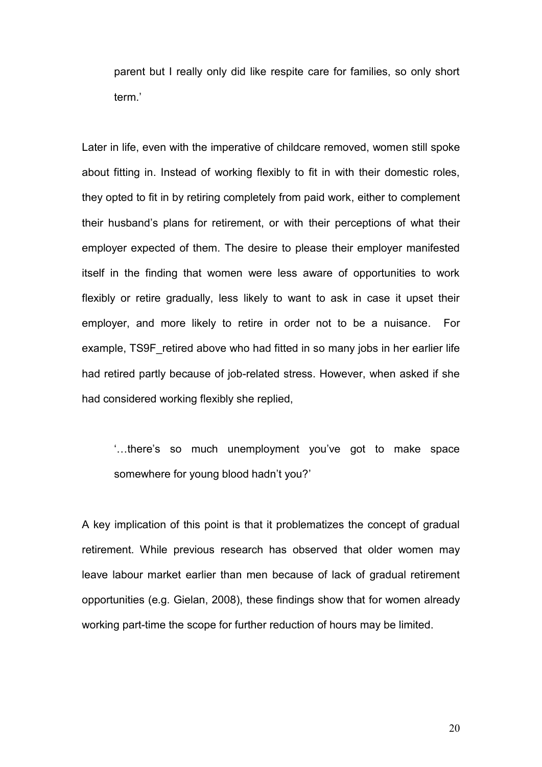parent but I really only did like respite care for families, so only short term.'

Later in life, even with the imperative of childcare removed, women still spoke about fitting in. Instead of working flexibly to fit in with their domestic roles, they opted to fit in by retiring completely from paid work, either to complement their husband's plans for retirement, or with their perceptions of what their employer expected of them. The desire to please their employer manifested itself in the finding that women were less aware of opportunities to work flexibly or retire gradually, less likely to want to ask in case it upset their employer, and more likely to retire in order not to be a nuisance. For example, TS9F retired above who had fitted in so many jobs in her earlier life had retired partly because of job-related stress. However, when asked if she had considered working flexibly she replied,

'…there's so much unemployment you've got to make space somewhere for young blood hadn't you?'

A key implication of this point is that it problematizes the concept of gradual retirement. While previous research has observed that older women may leave labour market earlier than men because of lack of gradual retirement opportunities (e.g. Gielan, 2008), these findings show that for women already working part-time the scope for further reduction of hours may be limited.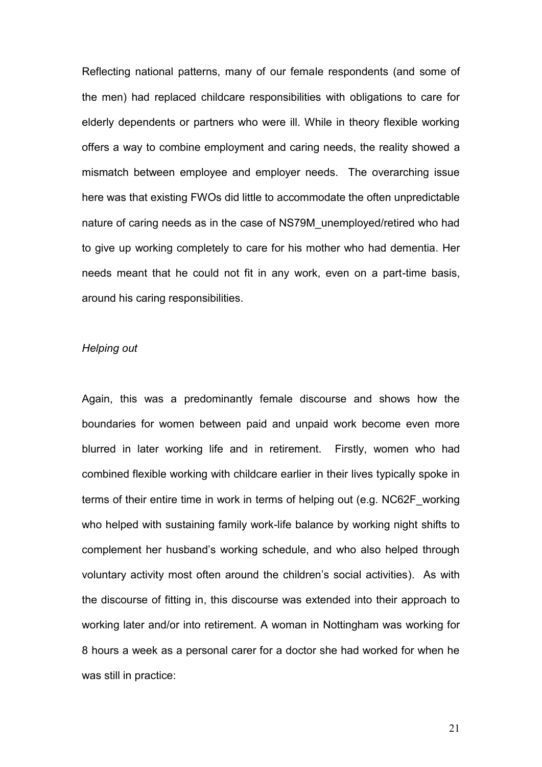Reflecting national patterns, many of our female respondents (and some of the men) had replaced childcare responsibilities with obligations to care for elderly dependents or partners who were ill. While in theory flexible working offers a way to combine employment and caring needs, the reality showed a mismatch between employee and employer needs. The overarching issue here was that existing FWOs did little to accommodate the often unpredictable nature of caring needs as in the case of NS79M\_unemployed/retired who had to give up working completely to care for his mother who had dementia. Her needs meant that he could not fit in any work, even on a part-time basis, around his caring responsibilities.

#### *Helping out*

Again, this was a predominantly female discourse and shows how the boundaries for women between paid and unpaid work become even more blurred in later working life and in retirement. Firstly, women who had combined flexible working with childcare earlier in their lives typically spoke in terms of their entire time in work in terms of helping out (e.g. NC62F\_working who helped with sustaining family work-life balance by working night shifts to complement her husband's working schedule, and who also helped through voluntary activity most often around the children's social activities). As with the discourse of fitting in, this discourse was extended into their approach to working later and/or into retirement. A woman in Nottingham was working for 8 hours a week as a personal carer for a doctor she had worked for when he was still in practice: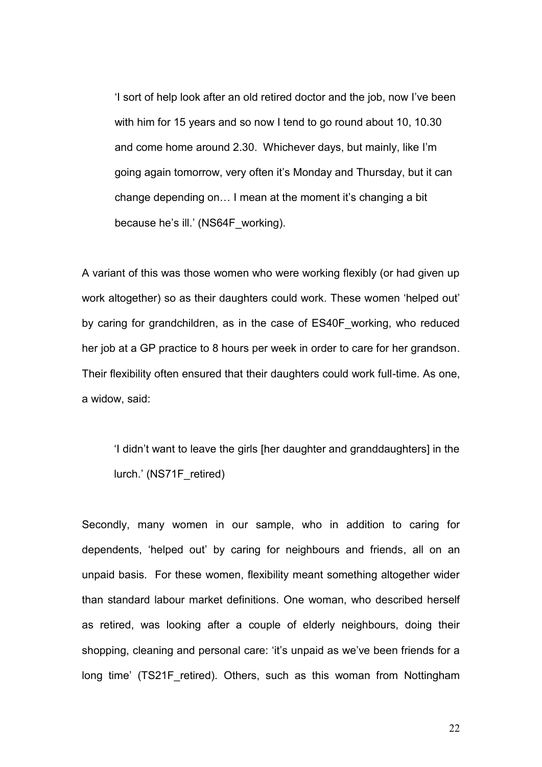'I sort of help look after an old retired doctor and the job, now I've been with him for 15 years and so now I tend to go round about 10, 10.30 and come home around 2.30. Whichever days, but mainly, like I'm going again tomorrow, very often it's Monday and Thursday, but it can change depending on… I mean at the moment it's changing a bit because he's ill.' (NS64F\_working).

A variant of this was those women who were working flexibly (or had given up work altogether) so as their daughters could work. These women 'helped out' by caring for grandchildren, as in the case of ES40F\_working, who reduced her job at a GP practice to 8 hours per week in order to care for her grandson. Their flexibility often ensured that their daughters could work full-time. As one, a widow, said:

'I didn't want to leave the girls [her daughter and granddaughters] in the lurch.' (NS71F\_retired)

Secondly, many women in our sample, who in addition to caring for dependents, 'helped out' by caring for neighbours and friends, all on an unpaid basis. For these women, flexibility meant something altogether wider than standard labour market definitions. One woman, who described herself as retired, was looking after a couple of elderly neighbours, doing their shopping, cleaning and personal care: 'it's unpaid as we've been friends for a long time' (TS21F retired). Others, such as this woman from Nottingham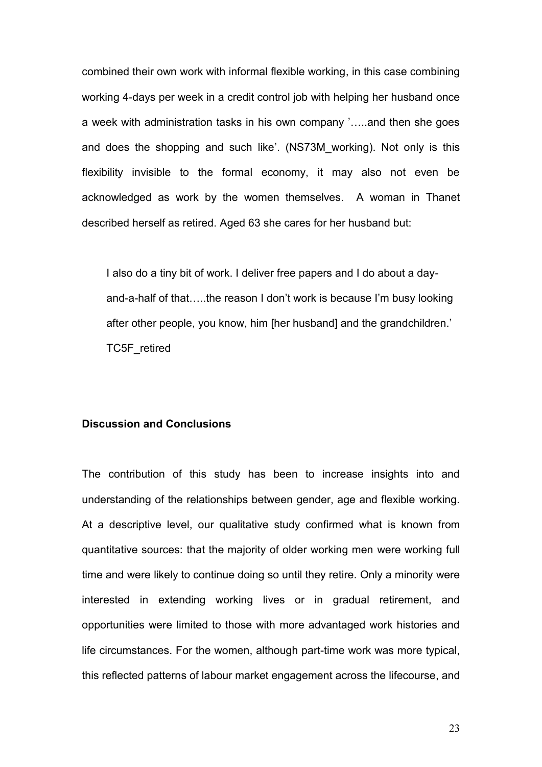combined their own work with informal flexible working, in this case combining working 4-days per week in a credit control job with helping her husband once a week with administration tasks in his own company '…..and then she goes and does the shopping and such like'. (NS73M\_working). Not only is this flexibility invisible to the formal economy, it may also not even be acknowledged as work by the women themselves. A woman in Thanet described herself as retired. Aged 63 she cares for her husband but:

I also do a tiny bit of work. I deliver free papers and I do about a dayand-a-half of that…..the reason I don't work is because I'm busy looking after other people, you know, him [her husband] and the grandchildren.' TC5F\_retired

#### **Discussion and Conclusions**

The contribution of this study has been to increase insights into and understanding of the relationships between gender, age and flexible working. At a descriptive level, our qualitative study confirmed what is known from quantitative sources: that the majority of older working men were working full time and were likely to continue doing so until they retire. Only a minority were interested in extending working lives or in gradual retirement, and opportunities were limited to those with more advantaged work histories and life circumstances. For the women, although part-time work was more typical, this reflected patterns of labour market engagement across the lifecourse, and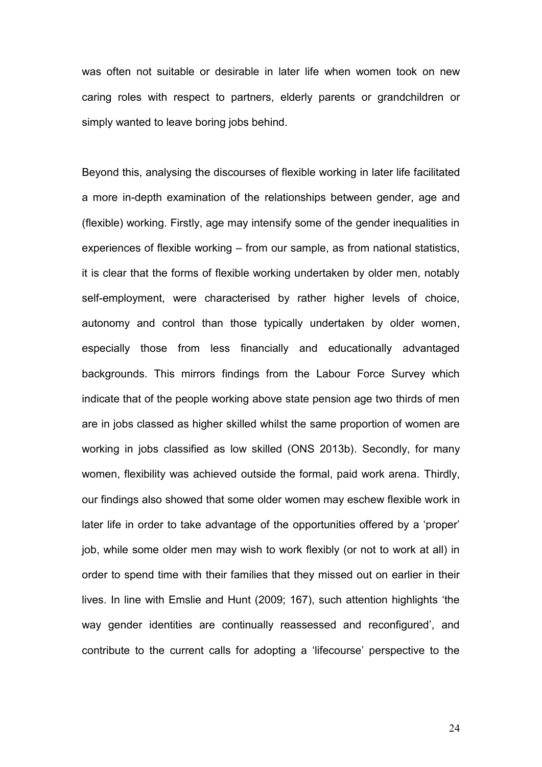was often not suitable or desirable in later life when women took on new caring roles with respect to partners, elderly parents or grandchildren or simply wanted to leave boring jobs behind.

Beyond this, analysing the discourses of flexible working in later life facilitated a more in-depth examination of the relationships between gender, age and (flexible) working. Firstly, age may intensify some of the gender inequalities in experiences of flexible working – from our sample, as from national statistics, it is clear that the forms of flexible working undertaken by older men, notably self-employment, were characterised by rather higher levels of choice, autonomy and control than those typically undertaken by older women, especially those from less financially and educationally advantaged backgrounds. This mirrors findings from the Labour Force Survey which indicate that of the people working above state pension age two thirds of men are in jobs classed as higher skilled whilst the same proportion of women are working in jobs classified as low skilled (ONS 2013b). Secondly, for many women, flexibility was achieved outside the formal, paid work arena. Thirdly, our findings also showed that some older women may eschew flexible work in later life in order to take advantage of the opportunities offered by a 'proper' job, while some older men may wish to work flexibly (or not to work at all) in order to spend time with their families that they missed out on earlier in their lives. In line with Emslie and Hunt (2009; 167), such attention highlights 'the way gender identities are continually reassessed and reconfigured', and contribute to the current calls for adopting a 'lifecourse' perspective to the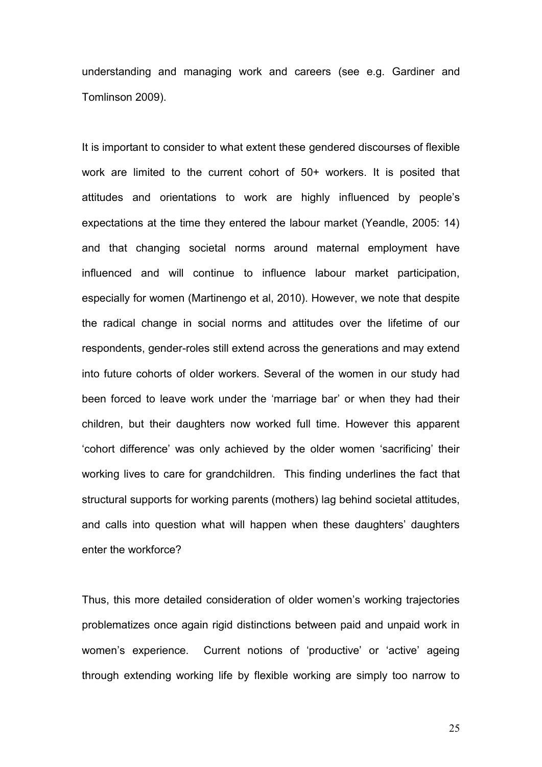understanding and managing work and careers (see e.g. Gardiner and Tomlinson 2009).

It is important to consider to what extent these gendered discourses of flexible work are limited to the current cohort of 50+ workers. It is posited that attitudes and orientations to work are highly influenced by people's expectations at the time they entered the labour market (Yeandle, 2005: 14) and that changing societal norms around maternal employment have influenced and will continue to influence labour market participation, especially for women (Martinengo et al, 2010). However, we note that despite the radical change in social norms and attitudes over the lifetime of our respondents, gender-roles still extend across the generations and may extend into future cohorts of older workers. Several of the women in our study had been forced to leave work under the 'marriage bar' or when they had their children, but their daughters now worked full time. However this apparent 'cohort difference' was only achieved by the older women 'sacrificing' their working lives to care for grandchildren. This finding underlines the fact that structural supports for working parents (mothers) lag behind societal attitudes, and calls into question what will happen when these daughters' daughters enter the workforce?

Thus, this more detailed consideration of older women's working trajectories problematizes once again rigid distinctions between paid and unpaid work in women's experience. Current notions of 'productive' or 'active' ageing through extending working life by flexible working are simply too narrow to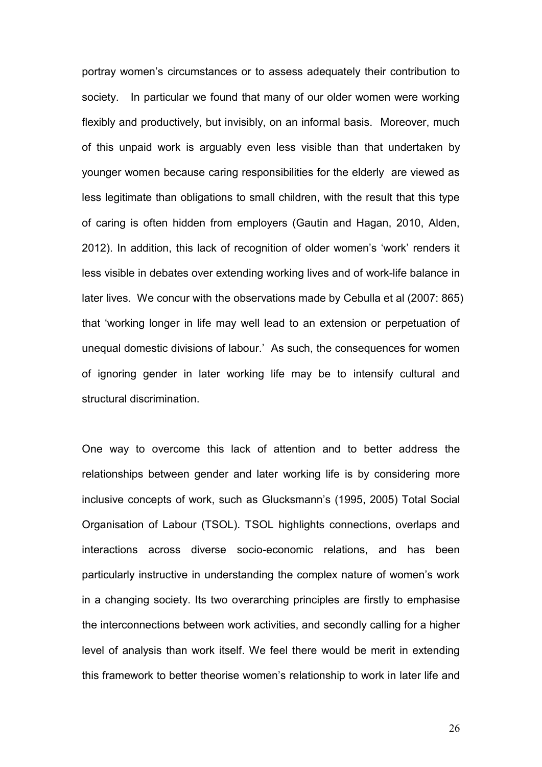portray women's circumstances or to assess adequately their contribution to society. In particular we found that many of our older women were working flexibly and productively, but invisibly, on an informal basis. Moreover, much of this unpaid work is arguably even less visible than that undertaken by younger women because caring responsibilities for the elderly are viewed as less legitimate than obligations to small children, with the result that this type of caring is often hidden from employers (Gautin and Hagan, 2010, Alden, 2012). In addition, this lack of recognition of older women's 'work' renders it less visible in debates over extending working lives and of work-life balance in later lives. We concur with the observations made by Cebulla et al (2007: 865) that 'working longer in life may well lead to an extension or perpetuation of unequal domestic divisions of labour.' As such, the consequences for women of ignoring gender in later working life may be to intensify cultural and structural discrimination.

One way to overcome this lack of attention and to better address the relationships between gender and later working life is by considering more inclusive concepts of work, such as Glucksmann's (1995, 2005) Total Social Organisation of Labour (TSOL). TSOL highlights connections, overlaps and interactions across diverse socio-economic relations, and has been particularly instructive in understanding the complex nature of women's work in a changing society. Its two overarching principles are firstly to emphasise the interconnections between work activities, and secondly calling for a higher level of analysis than work itself. We feel there would be merit in extending this framework to better theorise women's relationship to work in later life and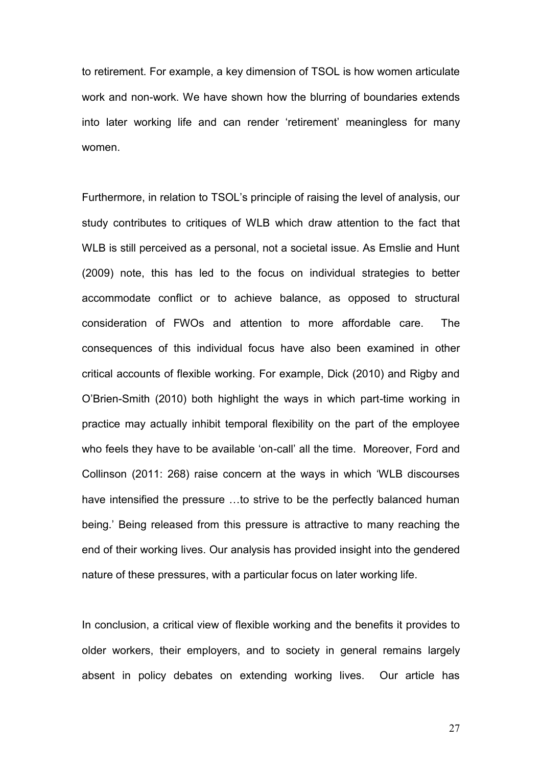to retirement. For example, a key dimension of TSOL is how women articulate work and non-work. We have shown how the blurring of boundaries extends into later working life and can render 'retirement' meaningless for many women.

Furthermore, in relation to TSOL's principle of raising the level of analysis, our study contributes to critiques of WLB which draw attention to the fact that WLB is still perceived as a personal, not a societal issue. As Emslie and Hunt (2009) note, this has led to the focus on individual strategies to better accommodate conflict or to achieve balance, as opposed to structural consideration of FWOs and attention to more affordable care. The consequences of this individual focus have also been examined in other critical accounts of flexible working. For example, Dick (2010) and Rigby and O'Brien-Smith (2010) both highlight the ways in which part-time working in practice may actually inhibit temporal flexibility on the part of the employee who feels they have to be available 'on-call' all the time. Moreover, Ford and Collinson (2011: 268) raise concern at the ways in which 'WLB discourses have intensified the pressure …to strive to be the perfectly balanced human being.' Being released from this pressure is attractive to many reaching the end of their working lives. Our analysis has provided insight into the gendered nature of these pressures, with a particular focus on later working life.

In conclusion, a critical view of flexible working and the benefits it provides to older workers, their employers, and to society in general remains largely absent in policy debates on extending working lives. Our article has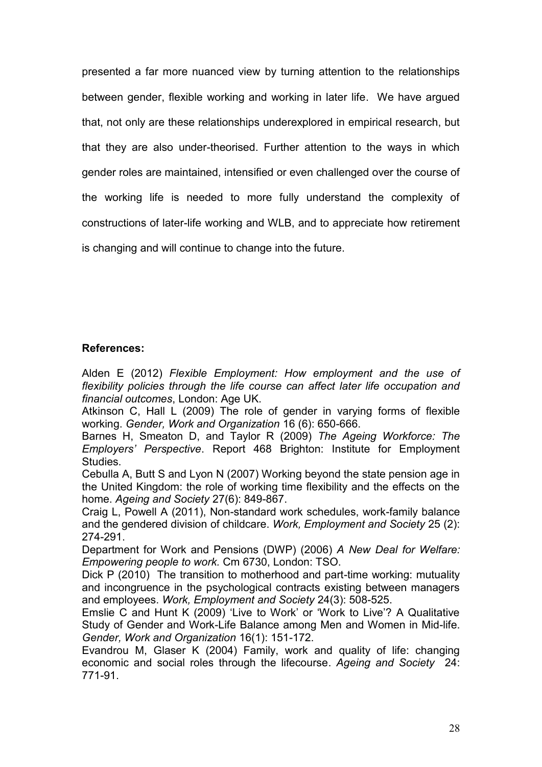presented a far more nuanced view by turning attention to the relationships between gender, flexible working and working in later life. We have argued that, not only are these relationships underexplored in empirical research, but that they are also under-theorised. Further attention to the ways in which gender roles are maintained, intensified or even challenged over the course of the working life is needed to more fully understand the complexity of constructions of later-life working and WLB, and to appreciate how retirement is changing and will continue to change into the future.

#### **References:**

Alden E (2012) *Flexible Employment: How employment and the use of flexibility policies through the life course can affect later life occupation and financial outcomes*, London: Age UK.

Atkinson C, Hall L (2009) The role of gender in varying forms of flexible working. *Gender, Work and Organization* 16 (6): 650-666.

Barnes H, Smeaton D, and Taylor R (2009) *The Ageing Workforce: The Employers' Perspective*. Report 468 Brighton: Institute for Employment Studies.

Cebulla A, Butt S and Lyon N (2007) Working beyond the state pension age in the United Kingdom: the role of working time flexibility and the effects on the home. *Ageing and Society* 27(6): 849-867.

Craig L, Powell A (2011), Non-standard work schedules, work-family balance and the gendered division of childcare. *Work, Employment and Society* 25 (2): 274-291.

Department for Work and Pensions (DWP) (2006) *A New Deal for Welfare: Empowering people to work.* Cm 6730, London: TSO.

Dick P (2010) The transition to motherhood and part-time working: mutuality and incongruence in the psychological contracts existing between managers and employees. *Work, Employment and Society* 24(3): 508-525.

Emslie C and Hunt K (2009) 'Live to Work' or 'Work to Live'? A Qualitative Study of Gender and Work-Life Balance among Men and Women in Mid-life. *Gender, Work and Organization* 16(1): 151-172.

Evandrou M, Glaser K (2004) Family, work and quality of life: changing economic and social roles through the lifecourse. *Ageing and Society* 24: 771-91.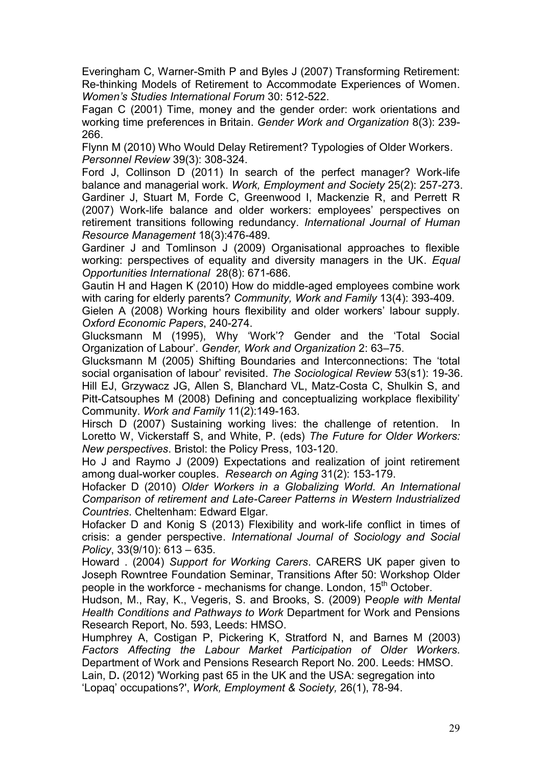Everingham C, Warner-Smith P and Byles J (2007) Transforming Retirement: Re-thinking Models of Retirement to Accommodate Experiences of Women. *Women's Studies International Forum* 30: 512-522.

Fagan C (2001) Time, money and the gender order: work orientations and working time preferences in Britain. *Gender Work and Organization* 8(3): 239- 266.

Flynn M (2010) Who Would Delay Retirement? Typologies of Older Workers. *Personnel Review* 39(3): 308-324.

Ford J, Collinson D (2011) In search of the perfect manager? Work-life balance and managerial work. *Work, Employment and Society* 25(2): 257-273. Gardiner J, Stuart M, Forde C, Greenwood I, Mackenzie R, and Perrett R (2007) Work-life balance and older workers: employees' perspectives on retirement transitions following redundancy. *International Journal of Human Resource Management* 18(3):476-489.

Gardiner J and Tomlinson J (2009) Organisational approaches to flexible working: perspectives of equality and diversity managers in the UK. *Equal Opportunities International* 28(8): 671-686.

Gautin H and Hagen K (2010) How do middle-aged employees combine work with caring for elderly parents? *Community, Work and Family* 13(4): 393-409.

Gielen A (2008) Working hours flexibility and older workers' labour supply. *Oxford Economic Papers*, 240-274.

Glucksmann M (1995), Why 'Work'? Gender and the 'Total Social Organization of Labour'. *Gender, Work and Organization* 2: 63–75.

Glucksmann M (2005) Shifting Boundaries and Interconnections: The 'total social organisation of labour' revisited. *The Sociological Review* 53(s1): 19-36. Hill EJ, Grzywacz JG, Allen S, Blanchard VL, Matz-Costa C, Shulkin S, and Pitt-Catsouphes M (2008) Defining and conceptualizing workplace flexibility' Community. *Work and Family* 11(2):149-163.

Hirsch D (2007) Sustaining working lives: the challenge of retention. In Loretto W, Vickerstaff S, and White, P. (eds) *The Future for Older Workers: New perspectives*. Bristol: the Policy Press, 103-120.

Ho J and Raymo J (2009) Expectations and realization of joint retirement among dual-worker couples. *Research on Aging* 31(2): 153-179.

Hofacker D (2010) *Older Workers in a Globalizing World. An International Comparison of retirement and Late-Career Patterns in Western Industrialized Countries*. Cheltenham: Edward Elgar.

Hofacker D and Konig S (2013) Flexibility and work-life conflict in times of crisis: a gender perspective. *International Journal of Sociology and Social Policy*, 33(9/10): 613 – 635.

Howard . (2004) *Support for Working Carers*. CARERS UK paper given to Joseph Rowntree Foundation Seminar, Transitions After 50: Workshop Older people in the workforce - mechanisms for change. London, 15<sup>th</sup> October.

Hudson, M., Ray, K., Vegeris, S. and Brooks, S. (2009) P*eople with Mental Health Conditions and Pathways to Work* Department for Work and Pensions Research Report, No. 593, Leeds: HMSO.

Humphrey A, Costigan P, Pickering K, Stratford N, and Barnes M (2003) *Factors Affecting the Labour Market Participation of Older Workers*. Department of Work and Pensions Research Report No. 200. Leeds: HMSO.

Lain, D**.** (2012) 'Working past 65 in the UK and the USA: segregation into 'Lopaq' occupations?', *Work, Employment & Society,* 26(1), 78-94.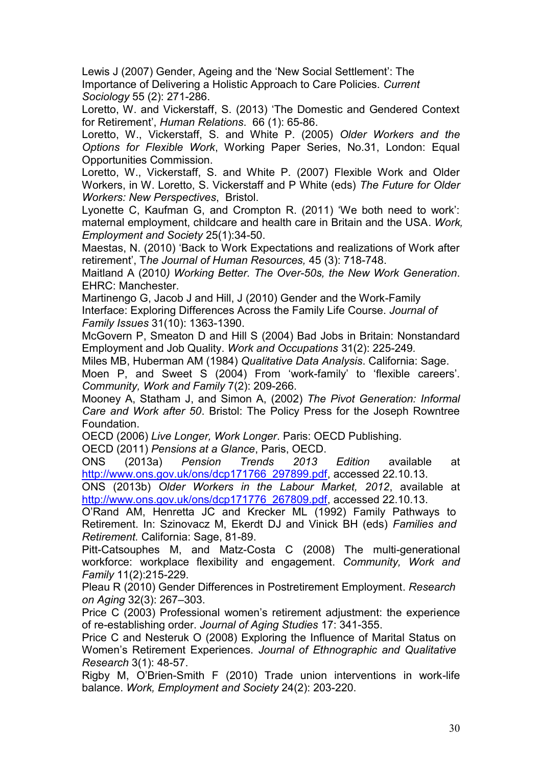Lewis J (2007) Gender, Ageing and the 'New Social Settlement': The Importance of Delivering a Holistic Approach to Care Policies. *Current Sociology* 55 (2): 271-286.

Loretto, W. and Vickerstaff, S. (2013) 'The Domestic and Gendered Context for Retirement', *Human Relations*. 66 (1): 65-86.

Loretto, W., Vickerstaff, S. and White P. (2005) *Older Workers and the Options for Flexible Work*, Working Paper Series, No.31, London: Equal Opportunities Commission.

Loretto, W., Vickerstaff, S. and White P. (2007) Flexible Work and Older Workers, in W. Loretto, S. Vickerstaff and P White (eds) *The Future for Older Workers: New Perspectives*, Bristol.

Lyonette C, Kaufman G, and Crompton R. (2011) 'We both need to work': maternal employment, childcare and health care in Britain and the USA. *Work, Employment and Society* 25(1):34-50.

Maestas, N. (2010) 'Back to Work Expectations and realizations of Work after retirement', T*he Journal of Human Resources,* 45 (3): 718-748.

Maitland A (2010*) Working Better. The Over-50s, the New Work Generation*. EHRC: Manchester.

Martinengo G, Jacob J and Hill, J (2010) Gender and the Work-Family Interface: Exploring Differences Across the Family Life Course. *Journal of Family Issues* 31(10): 1363-1390.

McGovern P, Smeaton D and Hill S (2004) Bad Jobs in Britain: Nonstandard Employment and Job Quality. *Work and Occupations* 31(2): 225-249*.*

Miles MB, Huberman AM (1984) *Qualitative Data Analysis*. California: Sage.

Moen P, and Sweet S (2004) From 'work-family' to 'flexible careers'. *Community, Work and Family* 7(2): 209-266.

Mooney A, Statham J, and Simon A, (2002) *The Pivot Generation: Informal Care and Work after 50*. Bristol: The Policy Press for the Joseph Rowntree Foundation.

OECD (2006) *Live Longer, Work Longer*. Paris: OECD Publishing.

OECD (2011) *Pensions at a Glance*, Paris, OECD.

ONS (2013a) *Pension Trends 2013 Edition* available at [http://www.ons.gov.uk/ons/dcp171766\\_297899.pdf,](http://www.ons.gov.uk/ons/dcp171766_297899.pdf) accessed 22.10.13.

ONS (2013b) *Older Workers in the Labour Market, 2012*, available at [http://www.ons.gov.uk/ons/dcp171776\\_267809.pdf,](http://www.ons.gov.uk/ons/dcp171776_267809.pdf) accessed 22.10.13.

O'Rand AM, Henretta JC and Krecker ML (1992) Family Pathways to Retirement. In: Szinovacz M, Ekerdt DJ and Vinick BH (eds) *Families and Retirement.* California: Sage, 81-89.

Pitt-Catsouphes M, and Matz-Costa C (2008) The multi-generational workforce: workplace flexibility and engagement. *Community, Work and Family* 11(2):215-229.

Pleau R (2010) Gender Differences in Postretirement Employment. *Research on Aging* 32(3): 267–303.

Price C (2003) Professional women's retirement adjustment: the experience of re-establishing order. *Journal of Aging Studies* 17: 341-355.

Price C and Nesteruk O (2008) Exploring the Influence of Marital Status on Women's Retirement Experiences. *Journal of Ethnographic and Qualitative Research* 3(1): 48-57.

Rigby M, O'Brien-Smith F (2010) Trade union interventions in work-life balance. *Work, Employment and Society* 24(2): 203-220.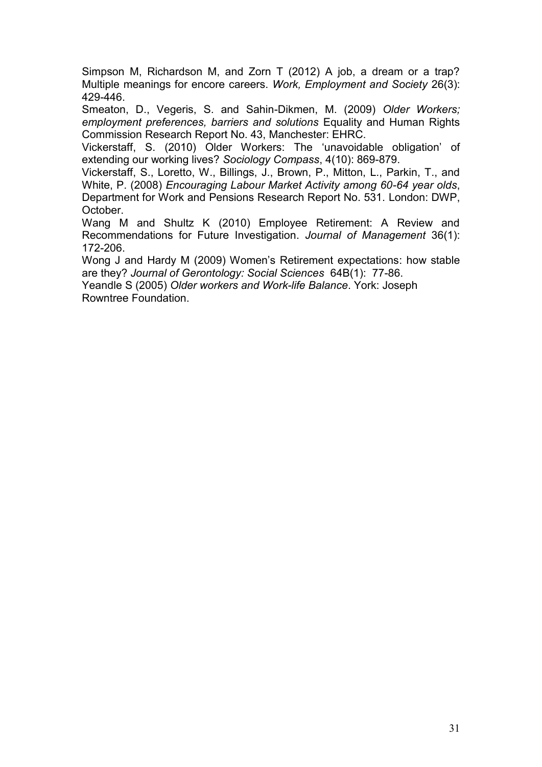Simpson M, Richardson M, and Zorn T (2012) A job, a dream or a trap? Multiple meanings for encore careers. *Work, Employment and Society* 26(3): 429-446.

Smeaton, D., Vegeris, S. and Sahin-Dikmen, M. (2009) *Older Workers; employment preferences, barriers and solutions* Equality and Human Rights Commission Research Report No. 43, Manchester: EHRC.

Vickerstaff, S. (2010) Older Workers: The 'unavoidable obligation' of extending our working lives? *Sociology Compass*, 4(10): 869-879.

Vickerstaff, S., Loretto, W., Billings, J., Brown, P., Mitton, L., Parkin, T., and White, P. (2008) *Encouraging Labour Market Activity among 60-64 year olds*, Department for Work and Pensions Research Report No. 531. London: DWP, October.

Wang M and Shultz K (2010) Employee Retirement: A Review and Recommendations for Future Investigation. *Journal of Management* 36(1): 172-206.

Wong J and Hardy M (2009) Women's Retirement expectations: how stable are they? *Journal of Gerontology: Social Sciences* 64B(1): 77-86.

Yeandle S (2005) *Older workers and Work-life Balance*. York: Joseph Rowntree Foundation.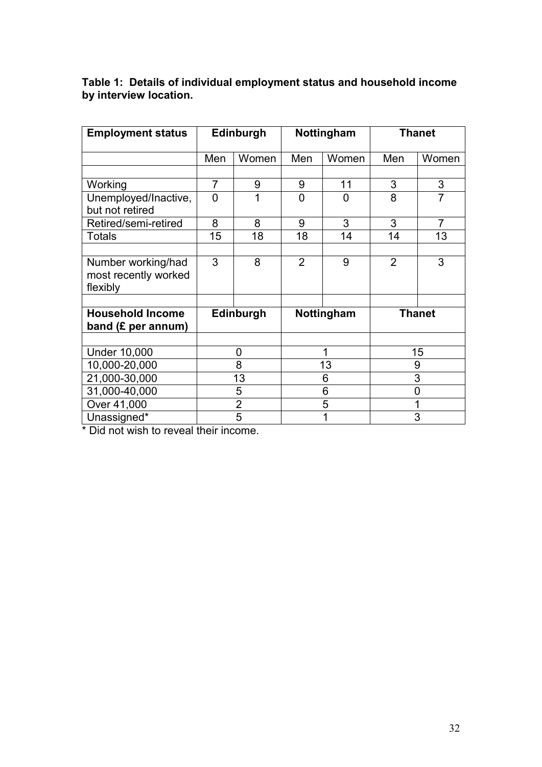| <b>Employment status</b>                               | Edinburgh      |       | Nottingham     |       | <b>Thanet</b> |                |
|--------------------------------------------------------|----------------|-------|----------------|-------|---------------|----------------|
|                                                        |                |       |                |       |               |                |
|                                                        | Men            | Women | Men            | Women | Men           | Women          |
|                                                        |                |       |                |       |               |                |
| Working                                                | 7              | 9     | 9              | 11    | 3             | 3              |
| Unemployed/Inactive,<br>but not retired                | $\overline{0}$ | 1     | $\overline{0}$ | 0     | 8             | $\overline{7}$ |
| Retired/semi-retired                                   | 8              | 8     | 9              | 3     | 3             | 7              |
| <b>Totals</b>                                          | 15             | 18    | 18             | 14    | 14            | 13             |
|                                                        |                |       |                |       |               |                |
| Number working/had<br>most recently worked<br>flexibly | 3              | 8     | 2              | 9     | 2             | 3              |
|                                                        |                |       |                |       |               |                |
| <b>Household Income</b><br>band $(E$ per annum)        | Edinburgh      |       | Nottingham     |       | <b>Thanet</b> |                |
|                                                        |                |       |                |       |               |                |
| <b>Under 10,000</b>                                    | 0              |       | 1              |       | 15            |                |
| 10,000-20,000                                          | 8              |       | 13             |       | 9             |                |
| 21,000-30,000                                          | 13             |       | 6              |       | 3             |                |
| 31,000-40,000                                          | 5              |       | 6              |       | 0             |                |
| Over 41,000                                            | $\overline{2}$ |       | 5              |       |               |                |
| Unassigned*                                            | $\overline{5}$ |       | 1              |       | 3             |                |

**Table 1: Details of individual employment status and household income by interview location.**

\* Did not wish to reveal their income.